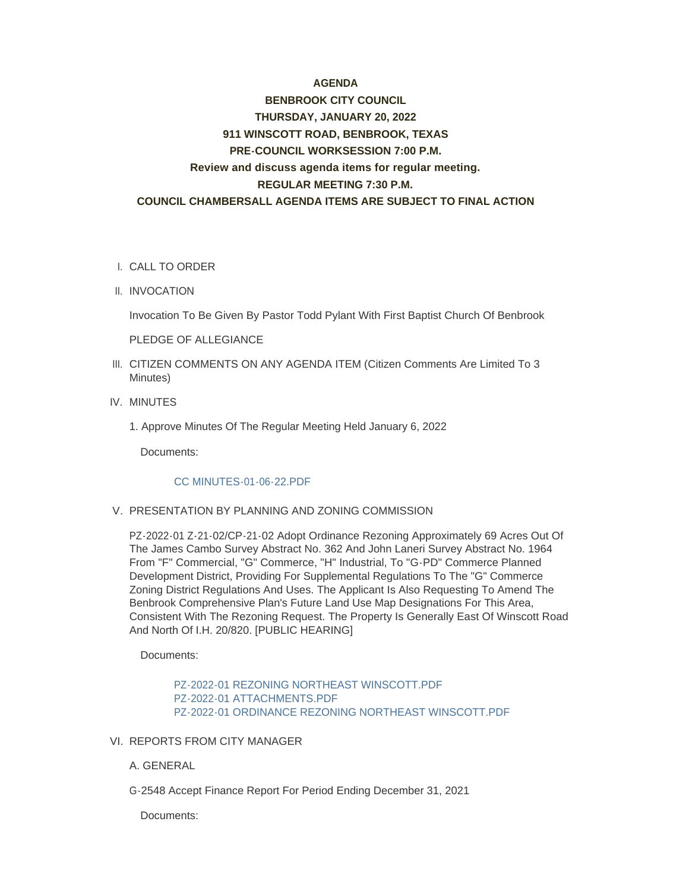# **AGENDA**

# **BENBROOK CITY COUNCIL THURSDAY, JANUARY 20, 2022 911 WINSCOTT ROAD, BENBROOK, TEXAS PRE-COUNCIL WORKSESSION 7:00 P.M. Review and discuss agenda items for regular meeting. REGULAR MEETING 7:30 P.M. COUNCIL CHAMBERSALL AGENDA ITEMS ARE SUBJECT TO FINAL ACTION**

#### CALL TO ORDER I.

II. INVOCATION

Invocation To Be Given By Pastor Todd Pylant With First Baptist Church Of Benbrook

PLEDGE OF ALLEGIANCE

- III. CITIZEN COMMENTS ON ANY AGENDA ITEM (Citizen Comments Are Limited To 3 Minutes)
- IV. MINUTES
	- 1. Approve Minutes Of The Regular Meeting Held January 6, 2022

Documents:

#### [CC MINUTES-01-06-22.PDF](http://www.benbrook-tx.gov/AgendaCenter/ViewFile/Item/6485?fileID=4957)

# V. PRESENTATION BY PLANNING AND ZONING COMMISSION

PZ-2022-01 Z-21-02/CP-21-02 Adopt Ordinance Rezoning Approximately 69 Acres Out Of The James Cambo Survey Abstract No. 362 And John Laneri Survey Abstract No. 1964 From "F" Commercial, "G" Commerce, "H" Industrial, To "G-PD" Commerce Planned Development District, Providing For Supplemental Regulations To The "G" Commerce Zoning District Regulations And Uses. The Applicant Is Also Requesting To Amend The Benbrook Comprehensive Plan's Future Land Use Map Designations For This Area, Consistent With The Rezoning Request. The Property Is Generally East Of Winscott Road And North Of I.H. 20/820. [PUBLIC HEARING]

Documents:

[PZ-2022-01 REZONING NORTHEAST WINSCOTT.PDF](http://www.benbrook-tx.gov/AgendaCenter/ViewFile/Item/6486?fileID=4960) [PZ-2022-01 ATTACHMENTS.PDF](http://www.benbrook-tx.gov/AgendaCenter/ViewFile/Item/6486?fileID=4958) [PZ-2022-01 ORDINANCE REZONING NORTHEAST WINSCOTT.PDF](http://www.benbrook-tx.gov/AgendaCenter/ViewFile/Item/6486?fileID=4959)

#### VI. REPORTS FROM CITY MANAGER

A. GENERAL

G-2548 Accept Finance Report For Period Ending December 31, 2021

Documents: